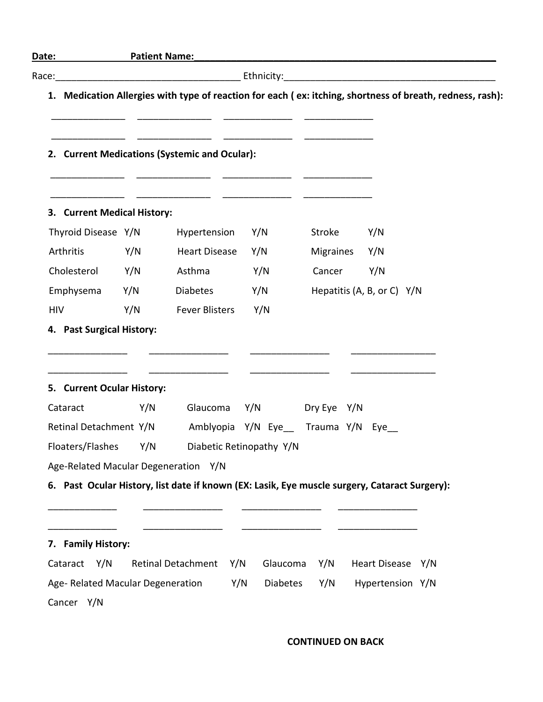|                                      |     | 1. Medication Allergies with type of reaction for each (ex: itching, shortness of breath, redness, rash): |                 |                          |                            |  |
|--------------------------------------|-----|-----------------------------------------------------------------------------------------------------------|-----------------|--------------------------|----------------------------|--|
|                                      |     | 2. Current Medications (Systemic and Ocular):                                                             |                 |                          |                            |  |
| 3. Current Medical History:          |     |                                                                                                           |                 |                          |                            |  |
| Thyroid Disease Y/N                  |     | Hypertension                                                                                              | Y/N             | Stroke                   | Y/N                        |  |
| Arthritis                            | Y/N | <b>Heart Disease</b>                                                                                      | Y/N             | Migraines                | Y/N                        |  |
| Cholesterol                          | Y/N | Asthma                                                                                                    | Y/N             | Cancer                   | Y/N                        |  |
| Emphysema                            | Y/N | Diabetes                                                                                                  | Y/N             |                          | Hepatitis (A, B, or C) Y/N |  |
| <b>HIV</b>                           | Y/N | <b>Fever Blisters</b>                                                                                     | Y/N             |                          |                            |  |
| 5. Current Ocular History:           |     |                                                                                                           |                 |                          |                            |  |
| Cataract                             | Y/N |                                                                                                           |                 | Glaucoma Y/N Dry Eye Y/N |                            |  |
|                                      |     | Retinal Detachment Y/N Amblyopia Y/N Eye__ Trauma Y/N Eye__                                               |                 |                          |                            |  |
|                                      |     | Floaters/Flashes Y/N Diabetic Retinopathy Y/N                                                             |                 |                          |                            |  |
| Age-Related Macular Degeneration Y/N |     |                                                                                                           |                 |                          |                            |  |
|                                      |     | 6. Past Ocular History, list date if known (EX: Lasik, Eye muscle surgery, Cataract Surgery):             |                 |                          |                            |  |
|                                      |     |                                                                                                           |                 |                          |                            |  |
|                                      |     |                                                                                                           |                 |                          |                            |  |
| 7. Family History:                   |     |                                                                                                           |                 |                          |                            |  |
| Cataract Y/N                         |     | Retinal Detachment Y/N                                                                                    |                 | Glaucoma Y/N             | Heart Disease Y/N          |  |
| Age- Related Macular Degeneration    |     | Y/N                                                                                                       | <b>Diabetes</b> | Y/N                      | Hypertension Y/N           |  |
| Cancer Y/N                           |     |                                                                                                           |                 |                          |                            |  |

**CONTINUED ON BACK**